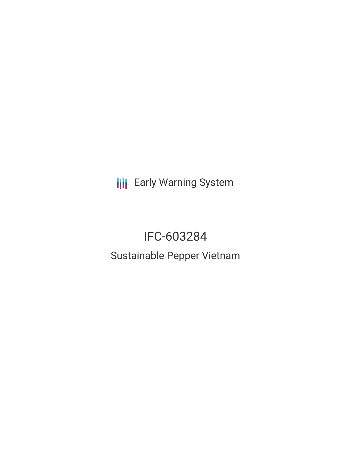**III** Early Warning System

# IFC-603284 Sustainable Pepper Vietnam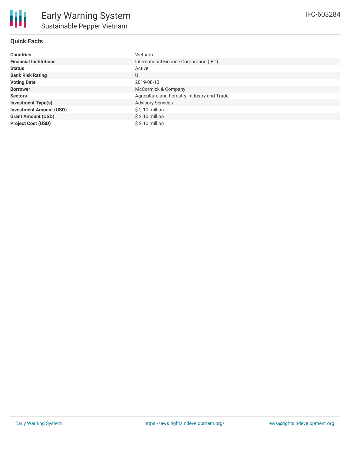

## **Quick Facts**

| <b>Countries</b>               | Vietnam                                      |
|--------------------------------|----------------------------------------------|
| <b>Financial Institutions</b>  | International Finance Corporation (IFC)      |
| <b>Status</b>                  | Active                                       |
| <b>Bank Risk Rating</b>        | U                                            |
| <b>Voting Date</b>             | 2019-08-13                                   |
| <b>Borrower</b>                | McCormick & Company                          |
| <b>Sectors</b>                 | Agriculture and Forestry, Industry and Trade |
| <b>Investment Type(s)</b>      | <b>Advisory Services</b>                     |
| <b>Investment Amount (USD)</b> | \$2.10 million                               |
| <b>Grant Amount (USD)</b>      | $$2.10$ million                              |
| <b>Project Cost (USD)</b>      | \$2.10 million                               |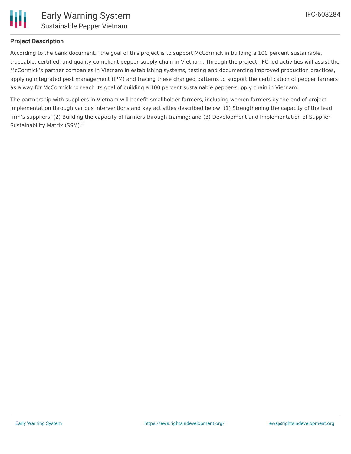

### **Project Description**

According to the bank document, "the goal of this project is to support McCormick in building a 100 percent sustainable, traceable, certified, and quality-compliant pepper supply chain in Vietnam. Through the project, IFC-led activities will assist the McCormick's partner companies in Vietnam in establishing systems, testing and documenting improved production practices, applying integrated pest management (IPM) and tracing these changed patterns to support the certification of pepper farmers as a way for McCormick to reach its goal of building a 100 percent sustainable pepper-supply chain in Vietnam.

The partnership with suppliers in Vietnam will benefit smallholder farmers, including women farmers by the end of project implementation through various interventions and key activities described below: (1) Strengthening the capacity of the lead firm's suppliers; (2) Building the capacity of farmers through training; and (3) Development and Implementation of Supplier Sustainability Matrix (SSM)."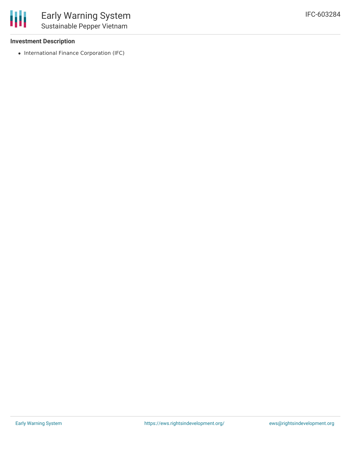### **Investment Description**

• International Finance Corporation (IFC)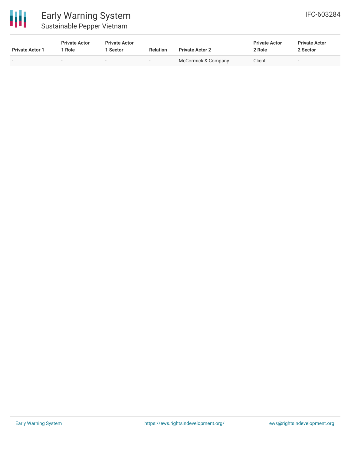

# Early Warning System Sustainable Pepper Vietnam

| <b>Private Actor 1</b>   | <b>Private Actor</b><br>* Role | <b>Private Actor</b><br>' Sector | <b>Relation</b>          | <b>Private Actor 2</b> | <b>Private Actor</b><br>2 Role | <b>Private Actor</b><br>2 Sector |  |
|--------------------------|--------------------------------|----------------------------------|--------------------------|------------------------|--------------------------------|----------------------------------|--|
| $\overline{\phantom{0}}$ | $\overline{\phantom{a}}$       | $\overline{\phantom{a}}$         | $\overline{\phantom{0}}$ | McCormick & Company    | Client                         | $\overline{\phantom{0}}$         |  |